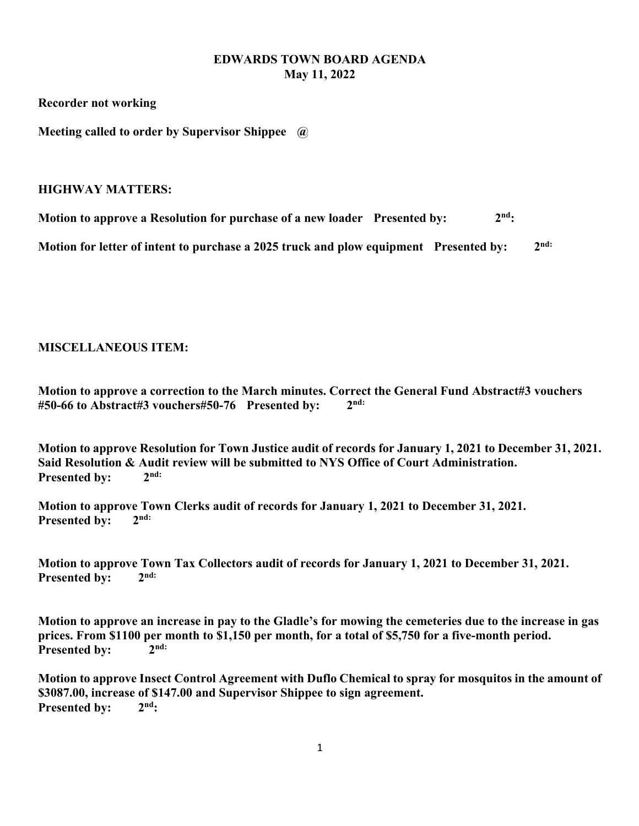## **EDWARDS TOWN BOARD AGENDA May 11, 2022**

**Recorder not working**

**Meeting called to order by Supervisor Shippee @**

## **HIGHWAY MATTERS:**

**Motion to approve a Resolution for purchase of a new loader** Presented by:  $2^{nd}$ :

Motion for letter of intent to purchase a 2025 truck and plow equipment Presented by: 2<sup>nd:</sup>

## **MISCELLANEOUS ITEM:**

**Motion to approve a correction to the March minutes. Correct the General Fund Abstract#3 vouchers #50-66 to Abstract#3 vouchers#50-76 Presented by: 2nd:**

**Motion to approve Resolution for Town Justice audit of records for January 1, 2021 to December 31, 2021. Said Resolution & Audit review will be submitted to NYS Office of Court Administration. Presented by:**  $\gamma$ <sup>nd:</sup>

**Motion to approve Town Clerks audit of records for January 1, 2021 to December 31, 2021.**  Presented by: 2<sup>nd:</sup>

**Motion to approve Town Tax Collectors audit of records for January 1, 2021 to December 31, 2021.** Presented by: 2<sup>nd:</sup>

**Motion to approve an increase in pay to the Gladle's for mowing the cemeteries due to the increase in gas prices. From \$1100 per month to \$1,150 per month, for a total of \$5,750 for a five-month period.**  Presented by: 2<sup>nd:</sup>

**Motion to approve Insect Control Agreement with Duflo Chemical to spray for mosquitos in the amount of \$3087.00, increase of \$147.00 and Supervisor Shippee to sign agreement.**  Presented by: 2<sup>nd</sup>: